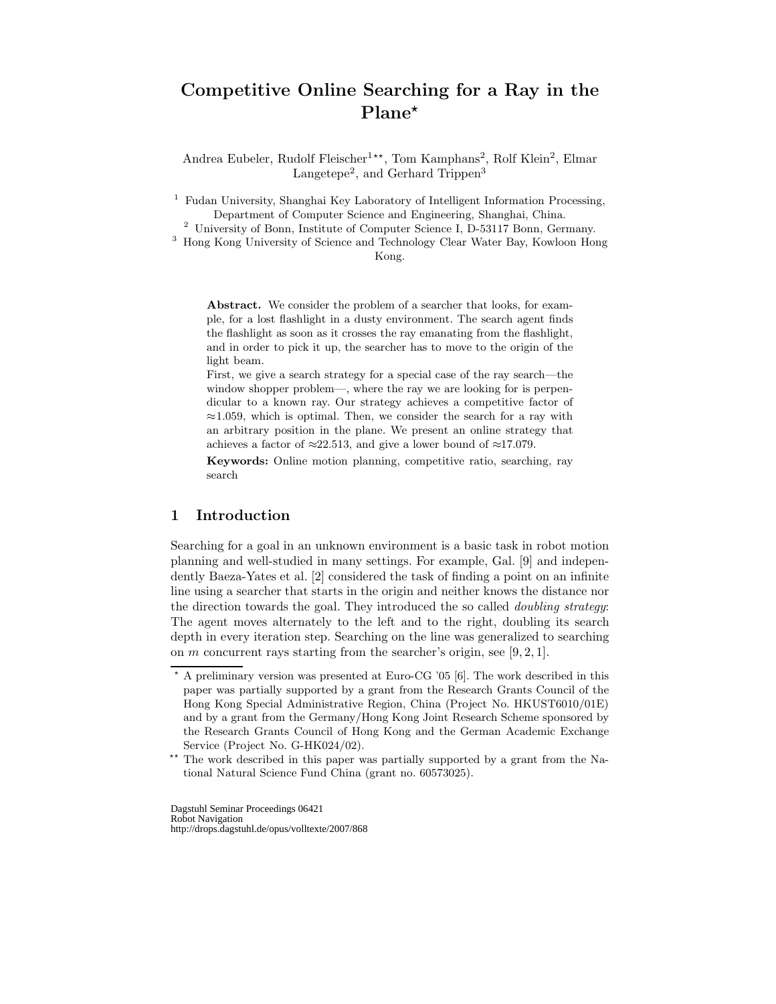# Competitive Online Searching for a Ray in the Plane<sup>\*</sup>

Andrea Eubeler, Rudolf Fleischer<sup>1\*\*</sup>, Tom Kamphans<sup>2</sup>, Rolf Klein<sup>2</sup>, Elmar Langetepe<sup>2</sup>, and Gerhard Trippen<sup>3</sup>

<sup>1</sup> Fudan University, Shanghai Key Laboratory of Intelligent Information Processing, Department of Computer Science and Engineering, Shanghai, China.

<sup>2</sup> University of Bonn, Institute of Computer Science I, D-53117 Bonn, Germany.

<sup>3</sup> Hong Kong University of Science and Technology Clear Water Bay, Kowloon Hong Kong.

Abstract. We consider the problem of a searcher that looks, for example, for a lost flashlight in a dusty environment. The search agent finds the flashlight as soon as it crosses the ray emanating from the flashlight, and in order to pick it up, the searcher has to move to the origin of the light beam.

First, we give a search strategy for a special case of the ray search—the window shopper problem—, where the ray we are looking for is perpendicular to a known ray. Our strategy achieves a competitive factor of  $\approx$ 1.059, which is optimal. Then, we consider the search for a ray with an arbitrary position in the plane. We present an online strategy that achieves a factor of  $\approx$ 22.513, and give a lower bound of  $\approx$ 17.079.

Keywords: Online motion planning, competitive ratio, searching, ray search

# 1 Introduction

Searching for a goal in an unknown environment is a basic task in robot motion planning and well-studied in many settings. For example, Gal. [9] and independently Baeza-Yates et al. [2] considered the task of finding a point on an infinite line using a searcher that starts in the origin and neither knows the distance nor the direction towards the goal. They introduced the so called doubling strategy: The agent moves alternately to the left and to the right, doubling its search depth in every iteration step. Searching on the line was generalized to searching on m concurrent rays starting from the searcher's origin, see [9, 2, 1].

<sup>?</sup> A preliminary version was presented at Euro-CG '05 [6]. The work described in this paper was partially supported by a grant from the Research Grants Council of the Hong Kong Special Administrative Region, China (Project No. HKUST6010/01E) and by a grant from the Germany/Hong Kong Joint Research Scheme sponsored by the Research Grants Council of Hong Kong and the German Academic Exchange Service (Project No. G-HK024/02).

<sup>\*\*</sup> The work described in this paper was partially supported by a grant from the National Natural Science Fund China (grant no. 60573025).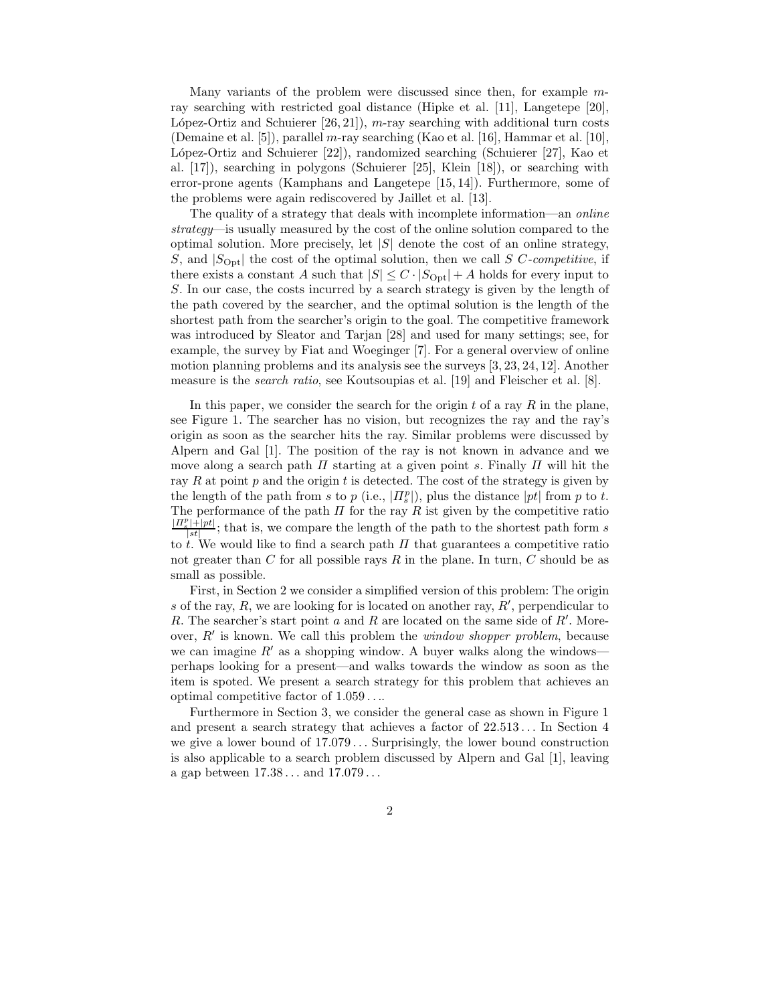Many variants of the problem were discussed since then, for example mray searching with restricted goal distance (Hipke et al. [11], Langetepe [20], López-Ortiz and Schuierer  $[26, 21]$ , m-ray searching with additional turn costs (Demaine et al. [5]), parallel m-ray searching (Kao et al. [16], Hammar et al. [10], López-Ortiz and Schuierer [22]), randomized searching (Schuierer [27], Kao et al. [17]), searching in polygons (Schuierer [25], Klein [18]), or searching with error-prone agents (Kamphans and Langetepe [15, 14]). Furthermore, some of the problems were again rediscovered by Jaillet et al. [13].

The quality of a strategy that deals with incomplete information—an *online* strategy—is usually measured by the cost of the online solution compared to the optimal solution. More precisely, let  $|S|$  denote the cost of an online strategy, S, and  $|S_{\text{Opt}}|$  the cost of the optimal solution, then we call S C-competitive, if there exists a constant A such that  $|S| \leq C \cdot |S_{\text{Opt}}| + A$  holds for every input to S. In our case, the costs incurred by a search strategy is given by the length of the path covered by the searcher, and the optimal solution is the length of the shortest path from the searcher's origin to the goal. The competitive framework was introduced by Sleator and Tarjan [28] and used for many settings; see, for example, the survey by Fiat and Woeginger [7]. For a general overview of online motion planning problems and its analysis see the surveys [3, 23, 24, 12]. Another measure is the search ratio, see Koutsoupias et al. [19] and Fleischer et al. [8].

In this paper, we consider the search for the origin  $t$  of a ray  $R$  in the plane, see Figure 1. The searcher has no vision, but recognizes the ray and the ray's origin as soon as the searcher hits the ray. Similar problems were discussed by Alpern and Gal [1]. The position of the ray is not known in advance and we move along a search path  $\Pi$  starting at a given point s. Finally  $\Pi$  will hit the ray R at point  $p$  and the origin  $t$  is detected. The cost of the strategy is given by the length of the path from s to p (i.e.,  $|I_s^p|$ ), plus the distance  $|pt|$  from p to t. The performance of the path  $\Pi$  for the ray  $R$  ist given by the competitive ratio  $| \Pi_s^p | + | pt |$  $\frac{|x|+|p_t|}{|st|}$ ; that is, we compare the length of the path to the shortest path form s to t. We would like to find a search path  $\Pi$  that guarantees a competitive ratio not greater than C for all possible rays R in the plane. In turn, C should be as small as possible.

First, in Section 2 we consider a simplified version of this problem: The origin s of the ray, R, we are looking for is located on another ray,  $R'$ , perpendicular to R. The searcher's start point  $a$  and  $R$  are located on the same side of  $R'$ . Moreover,  $R'$  is known. We call this problem the *window shopper problem*, because we can imagine  $R'$  as a shopping window. A buyer walks along the windows perhaps looking for a present—and walks towards the window as soon as the item is spoted. We present a search strategy for this problem that achieves an optimal competitive factor of 1.059 . . ..

Furthermore in Section 3, we consider the general case as shown in Figure 1 and present a search strategy that achieves a factor of  $22.513...$  In Section 4 we give a lower bound of  $17.079...$  Surprisingly, the lower bound construction is also applicable to a search problem discussed by Alpern and Gal [1], leaving a gap between  $17.38...$  and  $17.079...$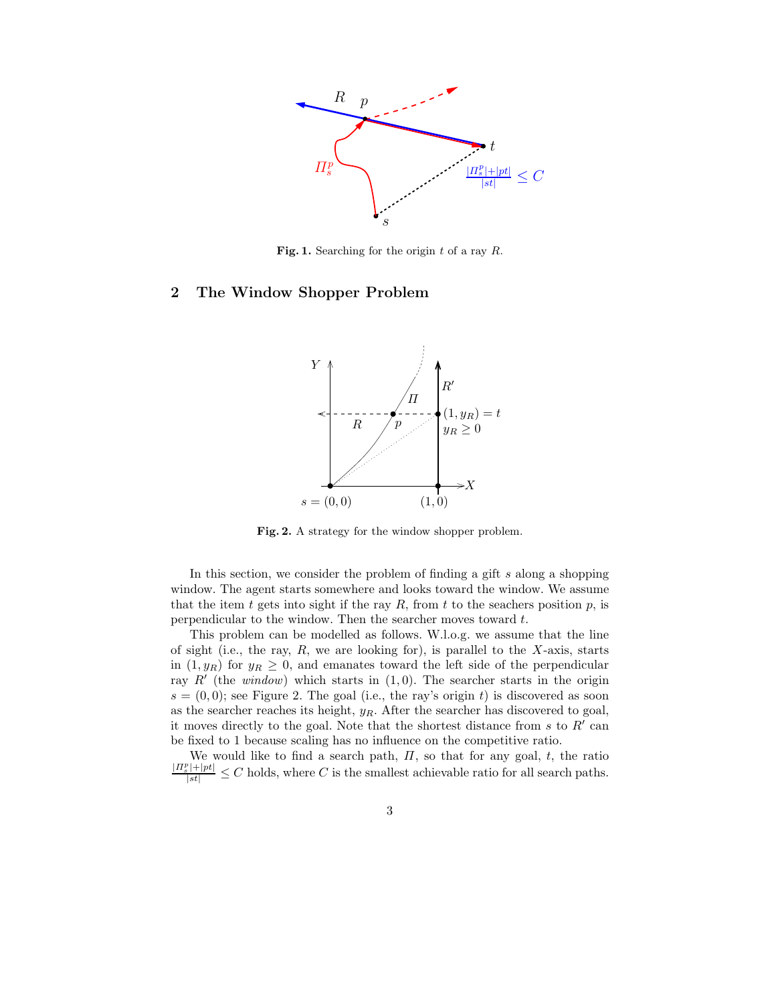

Fig. 1. Searching for the origin  $t$  of a ray  $R$ .

# 2 The Window Shopper Problem



Fig. 2. A strategy for the window shopper problem.

In this section, we consider the problem of finding a gift s along a shopping window. The agent starts somewhere and looks toward the window. We assume that the item t gets into sight if the ray  $R$ , from t to the seachers position  $p$ , is perpendicular to the window. Then the searcher moves toward t.

This problem can be modelled as follows. W.l.o.g. we assume that the line of sight (i.e., the ray,  $R$ , we are looking for), is parallel to the  $X$ -axis, starts in  $(1, y_R)$  for  $y_R \geq 0$ , and emanates toward the left side of the perpendicular ray  $R'$  (the *window*) which starts in  $(1, 0)$ . The searcher starts in the origin  $s = (0, 0)$ ; see Figure 2. The goal (i.e., the ray's origin t) is discovered as soon as the searcher reaches its height,  $y_R$ . After the searcher has discovered to goal, it moves directly to the goal. Note that the shortest distance from s to  $R'$  can be fixed to 1 because scaling has no influence on the competitive ratio.

We would like to find a search path,  $\Pi$ , so that for any goal, t, the ratio  $\frac{|H_s^p|+|pt|}{|st|} \leq C$  holds, where C is the smallest achievable ratio for all search paths.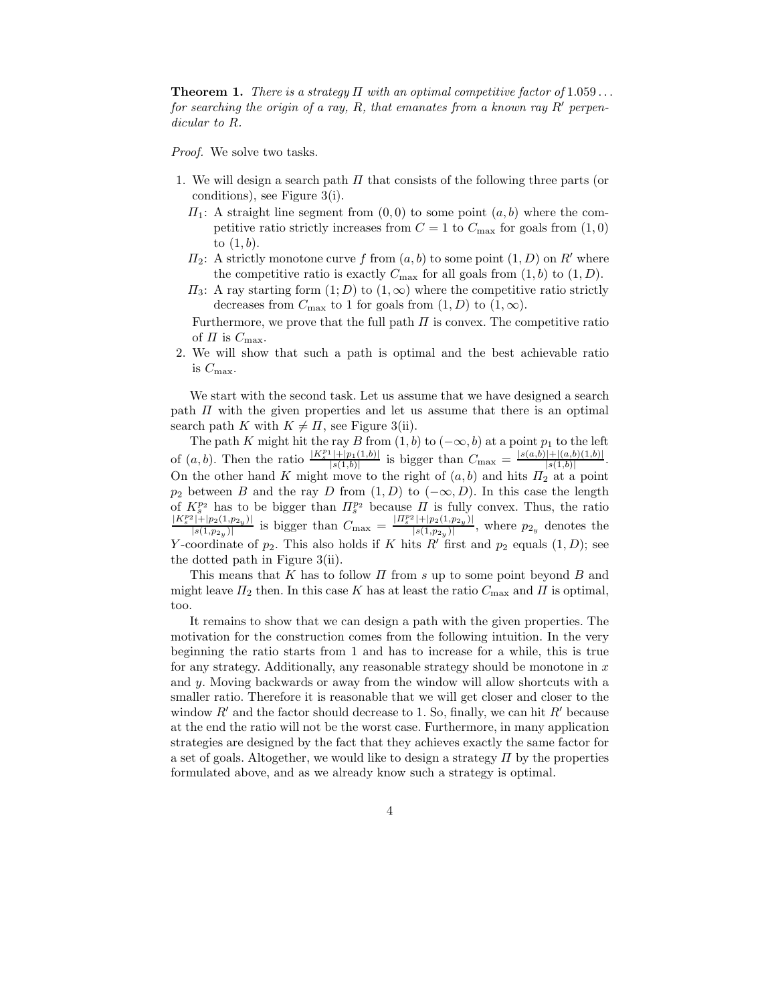**Theorem 1.** There is a strategy  $\Pi$  with an optimal competitive factor of 1.059... for searching the origin of a ray, R, that emanates from a known ray R' perpendicular to R.

Proof. We solve two tasks.

- 1. We will design a search path  $\Pi$  that consists of the following three parts (or conditions), see Figure 3(i).
	- $\Pi_1$ : A straight line segment from  $(0,0)$  to some point  $(a,b)$  where the competitive ratio strictly increases from  $C = 1$  to  $C_{\text{max}}$  for goals from  $(1, 0)$ to  $(1, b)$ .
	- $\Pi_2$ : A strictly monotone curve f from  $(a, b)$  to some point  $(1, D)$  on R' where the competitive ratio is exactly  $C_{\text{max}}$  for all goals from  $(1, b)$  to  $(1, D)$ .
	- $\Pi_3$ : A ray starting form  $(1; D)$  to  $(1, \infty)$  where the competitive ratio strictly decreases from  $C_{\text{max}}$  to 1 for goals from  $(1, D)$  to  $(1, \infty)$ .

Furthermore, we prove that the full path  $\Pi$  is convex. The competitive ratio of  $\Pi$  is  $C_{\text{max}}$ .

2. We will show that such a path is optimal and the best achievable ratio is  $C_{\text{max}}$ .

We start with the second task. Let us assume that we have designed a search path  $\Pi$  with the given properties and let us assume that there is an optimal search path K with  $K \neq \Pi$ , see Figure 3(ii).

The path K might hit the ray B from  $(1, b)$  to  $(-\infty, b)$  at a point  $p_1$  to the left of  $(a, b)$ . Then the ratio  $\frac{|K_s^{p_1}|+|p_1(1,b)|}{|s(1,b)|}$  $\frac{|s|+|p_1(1,b)|}{|s(1,b)|}$  is bigger than  $C_{\text{max}} = \frac{|s(a,b)|+|(a,b)(1,b)|}{|s(1,b)|}$  $\frac{|+|(a, b)(1, b)|}{|s(1,b)|}$ . On the other hand K might move to the right of  $(a, b)$  and hits  $\Pi_2$  at a point  $p_2$  between B and the ray D from  $(1, D)$  to  $(-\infty, D)$ . In this case the length of  $K_s^{p_2}$  has to be bigger than  $\Pi_s^{p_2}$  because  $\Pi$  is fully convex. Thus, the ratio  $|K_s^{p_2}|+|p_2(1,p_{2y})|$  $\frac{p_1^2+|p_2(1,p_{2y})|}{|s(1,p_{2y})|}$  is bigger than  $C_{\text{max}} = \frac{|H_s^{p_2}|+|p_2(1,p_{2y})|}{|s(1,p_{2y})|}$  $\frac{|\cdot| \cdot |p_2(1,p_2,y)|}{|s(1,p_2,y)|}$ , where  $p_{2y}$  denotes the Y-coordinate of  $p_2$ . This also holds if K hits R' first and  $p_2$  equals  $(1, D)$ ; see the dotted path in Figure 3(ii).

This means that K has to follow  $\Pi$  from s up to some point beyond B and might leave  $\Pi_2$  then. In this case K has at least the ratio  $C_{\text{max}}$  and  $\Pi$  is optimal, too.

It remains to show that we can design a path with the given properties. The motivation for the construction comes from the following intuition. In the very beginning the ratio starts from 1 and has to increase for a while, this is true for any strategy. Additionally, any reasonable strategy should be monotone in  $x$ and  $\gamma$ . Moving backwards or away from the window will allow shortcuts with a smaller ratio. Therefore it is reasonable that we will get closer and closer to the window  $R'$  and the factor should decrease to 1. So, finally, we can hit  $R'$  because at the end the ratio will not be the worst case. Furthermore, in many application strategies are designed by the fact that they achieves exactly the same factor for a set of goals. Altogether, we would like to design a strategy  $\Pi$  by the properties formulated above, and as we already know such a strategy is optimal.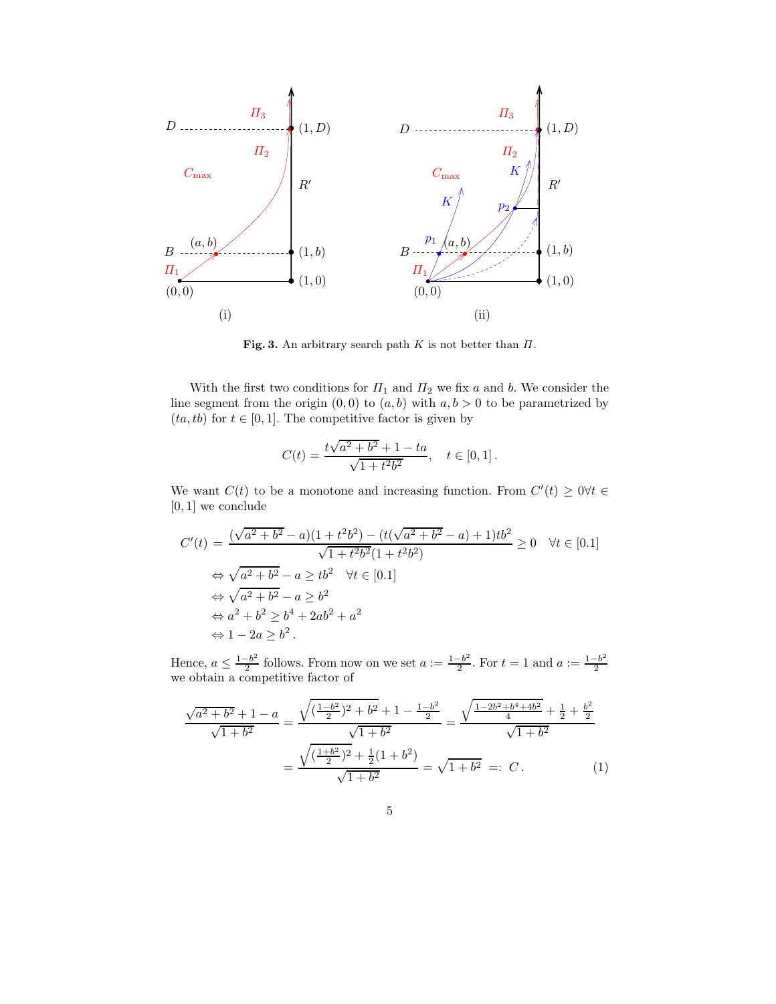

Fig. 3. An arbitrary search path K is not better than  $\Pi$ .

With the first two conditions for  $\Pi_1$  and  $\Pi_2$  we fix a and b. We consider the line segment from the origin  $(0, 0)$  to  $(a, b)$  with  $a, b > 0$  to be parametrized by  $(ta, tb)$  for  $t \in [0, 1]$ . The competitive factor is given by

$$
C(t) = \frac{t\sqrt{a^2 + b^2} + 1 - ta}{\sqrt{1 + t^2b^2}}, \quad t \in [0, 1].
$$

We want  $C(t)$  to be a monotone and increasing function. From  $C'(t) \geq 0 \forall t \in$ [0, 1] we conclude

$$
C'(t) = \frac{(\sqrt{a^2 + b^2} - a)(1 + t^2b^2) - (t(\sqrt{a^2 + b^2} - a) + 1)tb^2}{\sqrt{1 + t^2b^2}(1 + t^2b^2)} \ge 0 \quad \forall t \in [0.1]
$$
  
\n
$$
\Leftrightarrow \sqrt{a^2 + b^2} - a \ge tb^2 \quad \forall t \in [0.1]
$$
  
\n
$$
\Leftrightarrow \sqrt{a^2 + b^2} - a \ge b^2
$$
  
\n
$$
\Leftrightarrow a^2 + b^2 \ge b^4 + 2ab^2 + a^2
$$
  
\n
$$
\Leftrightarrow 1 - 2a \ge b^2.
$$

Hence,  $a \leq \frac{1-b^2}{2}$  $\frac{b^{-b}}{2}$  follows. From now on we set  $a := \frac{1-b^2}{2}$  $\frac{-b^2}{2}$ . For  $t = 1$  and  $a := \frac{1-b^2}{2}$ Figure . Then  $\alpha$  is  $\alpha$  is  $\alpha$  is  $\alpha$  is  $\alpha$  is  $\alpha$  is  $\alpha$  is  $\alpha$  is  $\alpha$  is  $\alpha$  is  $\alpha$  is  $\alpha$  is  $\alpha$  is  $\alpha$  is  $\alpha$  is  $\alpha$  is  $\alpha$  is  $\alpha$  is  $\alpha$  is  $\alpha$  is  $\alpha$  is  $\alpha$  is  $\alpha$  is  $\alpha$  is  $\alpha$  is  $\alpha$  is

$$
\frac{\sqrt{a^2 + b^2} + 1 - a}{\sqrt{1 + b^2}} = \frac{\sqrt{(\frac{1 - b^2}{2})^2 + b^2} + 1 - \frac{1 - b^2}{2}}{\sqrt{1 + b^2}} = \frac{\sqrt{\frac{1 - 2b^2 + b^4 + 4b^2}{4}} + \frac{1}{2} + \frac{b^2}{2}}{\sqrt{1 + b^2}} = \frac{\sqrt{(\frac{1 + b^2}{2})^2 + \frac{1}{2}(1 + b^2)}}{\sqrt{1 + b^2}} = \sqrt{1 + b^2} =: C.
$$
 (1)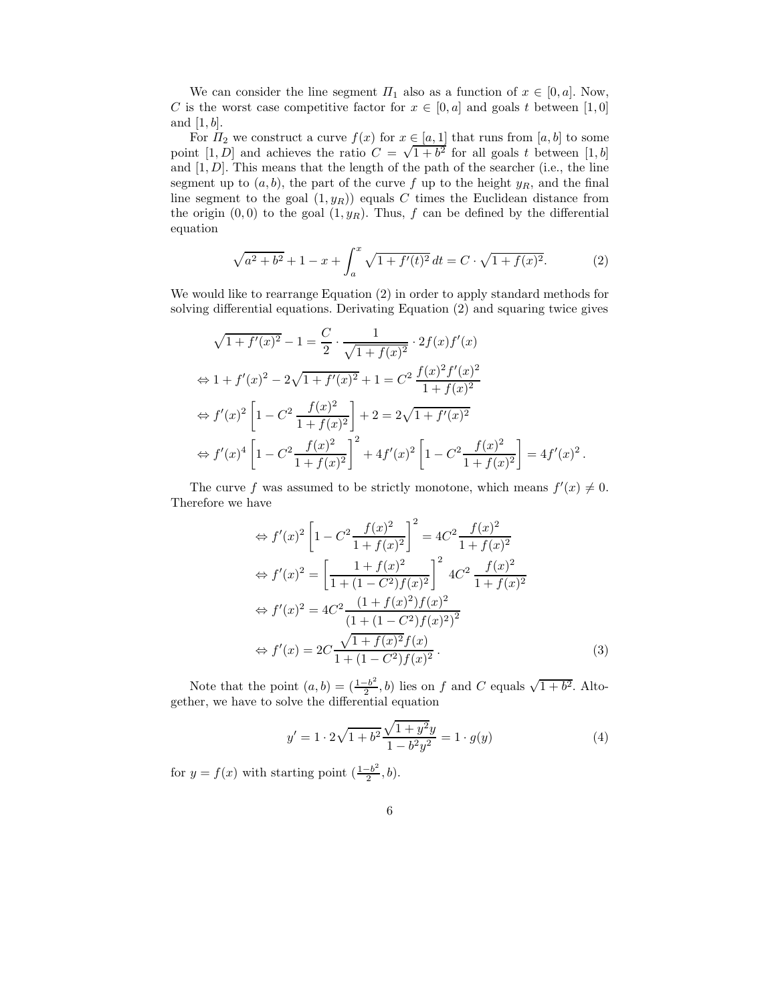We can consider the line segment  $\Pi_1$  also as a function of  $x \in [0, a]$ . Now, C is the worst case competitive factor for  $x \in [0, a]$  and goals t between  $[1, 0]$ and  $[1, b]$ .

For  $\Pi_2$  we construct a curve  $f(x)$  for  $x \in [a, 1]$  that runs from  $[a, b]$  to some point [1, D] and achieves the ratio  $C = \sqrt{1+b^2}$  for all goals t between [1, b] and  $[1, D]$ . This means that the length of the path of the searcher (i.e., the line segment up to  $(a, b)$ , the part of the curve f up to the height  $y_R$ , and the final line segment to the goal  $(1, y_R)$  equals C times the Euclidean distance from the origin  $(0, 0)$  to the goal  $(1, y_R)$ . Thus, f can be defined by the differential equation

$$
\sqrt{a^2 + b^2} + 1 - x + \int_a^x \sqrt{1 + f'(t)^2} dt = C \cdot \sqrt{1 + f(x)^2}.
$$
 (2)

We would like to rearrange Equation (2) in order to apply standard methods for solving differential equations. Derivating Equation (2) and squaring twice gives

$$
\sqrt{1 + f'(x)^2} - 1 = \frac{C}{2} \cdot \frac{1}{\sqrt{1 + f(x)^2}} \cdot 2f(x)f'(x)
$$
  
\n
$$
\Leftrightarrow 1 + f'(x)^2 - 2\sqrt{1 + f'(x)^2} + 1 = C^2 \frac{f(x)^2 f'(x)^2}{1 + f(x)^2}
$$
  
\n
$$
\Leftrightarrow f'(x)^2 \left[1 - C^2 \frac{f(x)^2}{1 + f(x)^2}\right] + 2 = 2\sqrt{1 + f'(x)^2}
$$
  
\n
$$
\Leftrightarrow f'(x)^4 \left[1 - C^2 \frac{f(x)^2}{1 + f(x)^2}\right]^2 + 4f'(x)^2 \left[1 - C^2 \frac{f(x)^2}{1 + f(x)^2}\right] = 4f'(x)^2.
$$

The curve f was assumed to be strictly monotone, which means  $f'(x) \neq 0$ . Therefore we have

$$
\Leftrightarrow f'(x)^2 \left[ 1 - C^2 \frac{f(x)^2}{1 + f(x)^2} \right]^2 = 4C^2 \frac{f(x)^2}{1 + f(x)^2}
$$
  
\n
$$
\Leftrightarrow f'(x)^2 = \left[ \frac{1 + f(x)^2}{1 + (1 - C^2)f(x)^2} \right]^2 4C^2 \frac{f(x)^2}{1 + f(x)^2}
$$
  
\n
$$
\Leftrightarrow f'(x)^2 = 4C^2 \frac{(1 + f(x)^2)f(x)^2}{(1 + (1 - C^2)f(x)^2)^2}
$$
  
\n
$$
\Leftrightarrow f'(x) = 2C \frac{\sqrt{1 + f(x)^2 f(x)}}{1 + (1 - C^2)f(x)^2}.
$$
  
\n(3)

Note that the point  $(a, b) = \left(\frac{1-b^2}{2}\right)$  $\frac{-b^2}{2}$ , *b*) lies on *f* and *C* equals  $\sqrt{1+b^2}$ . Altogether, we have to solve the differential equation

$$
y' = 1 \cdot 2\sqrt{1 + b^2} \frac{\sqrt{1 + y^2}y}{1 - b^2 y^2} = 1 \cdot g(y)
$$
 (4)

for  $y = f(x)$  with starting point  $\left(\frac{1-b^2}{2}\right)$  $\frac{-b^2}{2}, b$ .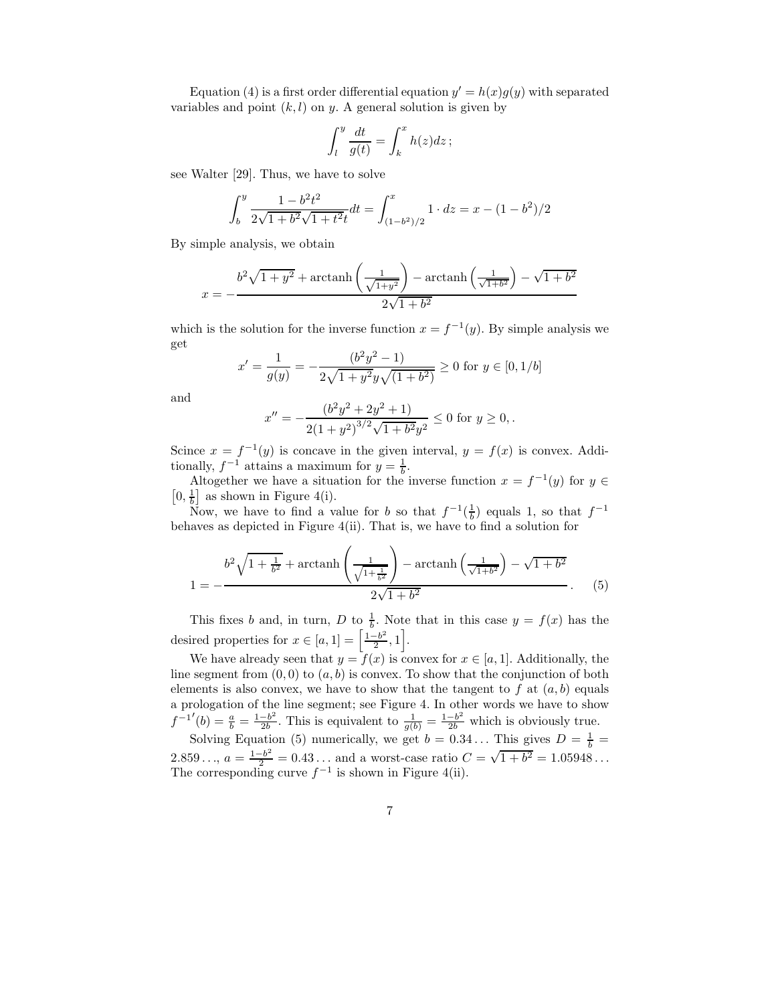Equation (4) is a first order differential equation  $y' = h(x)g(y)$  with separated variables and point  $(k, l)$  on y. A general solution is given by

$$
\int_{l}^{y} \frac{dt}{g(t)} = \int_{k}^{x} h(z)dz;
$$

see Walter [29]. Thus, we have to solve

$$
\int_b^y \frac{1 - b^2 t^2}{2\sqrt{1 + b^2}\sqrt{1 + t^2}t} dt = \int_{(1 - b^2)/2}^x 1 \cdot dz = x - (1 - b^2)/2
$$

By simple analysis, we obtain

 $\boldsymbol{\beta}$ 

$$
x = -\frac{b^2 \sqrt{1 + y^2} + \arctanh\left(\frac{1}{\sqrt{1 + y^2}}\right) - \arctanh\left(\frac{1}{\sqrt{1 + b^2}}\right) - \sqrt{1 + b^2}}{2\sqrt{1 + b^2}}
$$

which is the solution for the inverse function  $x = f^{-1}(y)$ . By simple analysis we get

$$
x' = \frac{1}{g(y)} = -\frac{(b^2y^2 - 1)}{2\sqrt{1 + y^2}y\sqrt{(1 + b^2)}} \ge 0 \text{ for } y \in [0, 1/b]
$$

and

$$
c'' = -\frac{(b^2y^2 + 2y^2 + 1)}{2(1 + y^2)^{3/2}\sqrt{1 + b^2}y^2} \le 0
$$
 for  $y \ge 0$ ,

Scince  $x = f^{-1}(y)$  is concave in the given interval,  $y = f(x)$  is convex. Additionally,  $f^{-1}$  attains a maximum for  $y = \frac{1}{b}$ .

Altogether we have a situation for the inverse function  $x = f^{-1}(y)$  for  $y \in \mathbb{R}^n$  $[0, \frac{1}{b}]$  as shown in Figure 4(i).

Now, we have to find a value for b so that  $f^{-1}(\frac{1}{b})$  equals 1, so that  $f^{-1}$ behaves as depicted in Figure 4(ii). That is, we have to find a solution for

$$
1 = -\frac{b^2 \sqrt{1 + \frac{1}{b^2}} + \arctanh\left(\frac{1}{\sqrt{1 + \frac{1}{b^2}}}\right) - \arctanh\left(\frac{1}{\sqrt{1 + b^2}}\right) - \sqrt{1 + b^2}}{2\sqrt{1 + b^2}}.
$$
 (5)

This fixes b and, in turn, D to  $\frac{1}{b}$ . Note that in this case  $y = f(x)$  has the desired properties for  $x \in [a, 1] = \left[\frac{1-b^2}{2}\right]$  $\frac{-b^2}{2}, 1$ .

We have already seen that  $y = f(x)$  is convex for  $x \in [a, 1]$ . Additionally, the line segment from  $(0, 0)$  to  $(a, b)$  is convex. To show that the conjunction of both elements is also convex, we have to show that the tangent to  $f$  at  $(a, b)$  equals a prologation of the line segment; see Figure 4. In other words we have to show  $f^{-1'}(b) = \frac{a}{b} = \frac{1-b^2}{2b}$  $\frac{-b^2}{2b}$ . This is equivalent to  $\frac{1}{g(b)} = \frac{1-b^2}{2b}$  which is obviously true.

Solving Equation (5) numerically, we get  $b = 0.34...$  This gives  $D = \frac{1}{b}$ 2.859...,  $a = \frac{1-b^2}{2} = 0.43...$  and a worst-case ratio  $C = \sqrt{1+b^2} = 1.05948...$ The corresponding curve  $f^{-1}$  is shown in Figure 4(ii).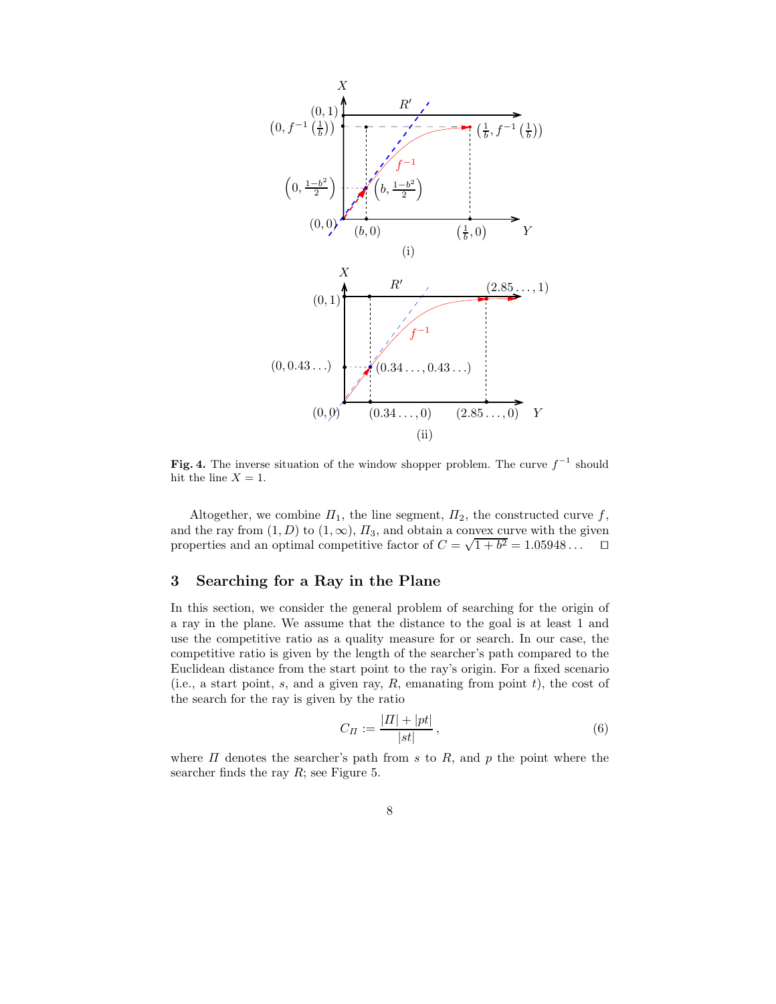

Fig. 4. The inverse situation of the window shopper problem. The curve  $f^{-1}$  should hit the line  $X = 1$ .

Altogether, we combine  $\Pi_1$ , the line segment,  $\Pi_2$ , the constructed curve f, and the ray from  $(1, D)$  to  $(1, \infty)$ ,  $\Pi_3$ , and obtain a convex curve with the given properties and an optimal competitive factor of  $C = \sqrt{1+b^2} = 1.05948...$ 

### 3 Searching for a Ray in the Plane

In this section, we consider the general problem of searching for the origin of a ray in the plane. We assume that the distance to the goal is at least 1 and use the competitive ratio as a quality measure for or search. In our case, the competitive ratio is given by the length of the searcher's path compared to the Euclidean distance from the start point to the ray's origin. For a fixed scenario (i.e., a start point, s, and a given ray,  $R$ , emanating from point  $t$ ), the cost of the search for the ray is given by the ratio

$$
C_{\Pi} := \frac{|H| + |pt|}{|st|},\tag{6}
$$

where  $\Pi$  denotes the searcher's path from s to  $R$ , and p the point where the searcher finds the ray  $R$ ; see Figure 5.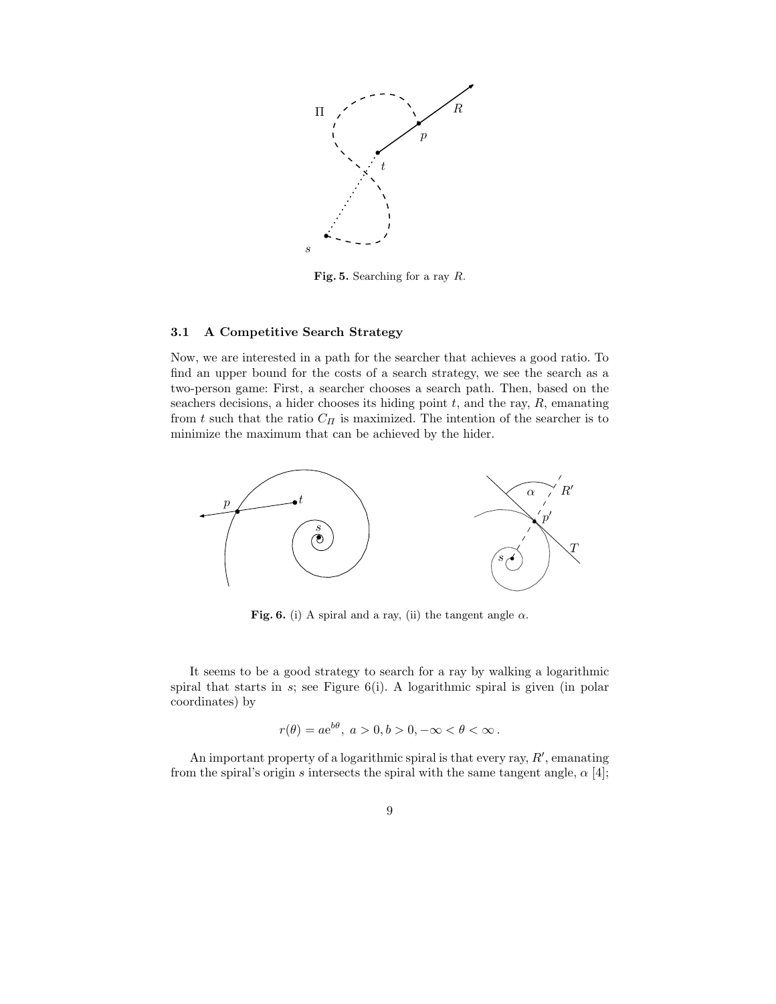

Fig. 5. Searching for a ray R.

#### 3.1 A Competitive Search Strategy

Now, we are interested in a path for the searcher that achieves a good ratio. To find an upper bound for the costs of a search strategy, we see the search as a two-person game: First, a searcher chooses a search path. Then, based on the seachers decisions, a hider chooses its hiding point  $t$ , and the ray,  $R$ , emanating from t such that the ratio  $C_H$  is maximized. The intention of the searcher is to minimize the maximum that can be achieved by the hider.



Fig. 6. (i) A spiral and a ray, (ii) the tangent angle  $\alpha$ .

It seems to be a good strategy to search for a ray by walking a logarithmic spiral that starts in  $s$ ; see Figure  $6(i)$ . A logarithmic spiral is given (in polar coordinates) by

$$
r(\theta) = ae^{b\theta}, \ a > 0, b > 0, -\infty < \theta < \infty.
$$

An important property of a logarithmic spiral is that every ray,  $R'$ , emanating from the spiral's origin s intersects the spiral with the same tangent angle,  $\alpha$  [4];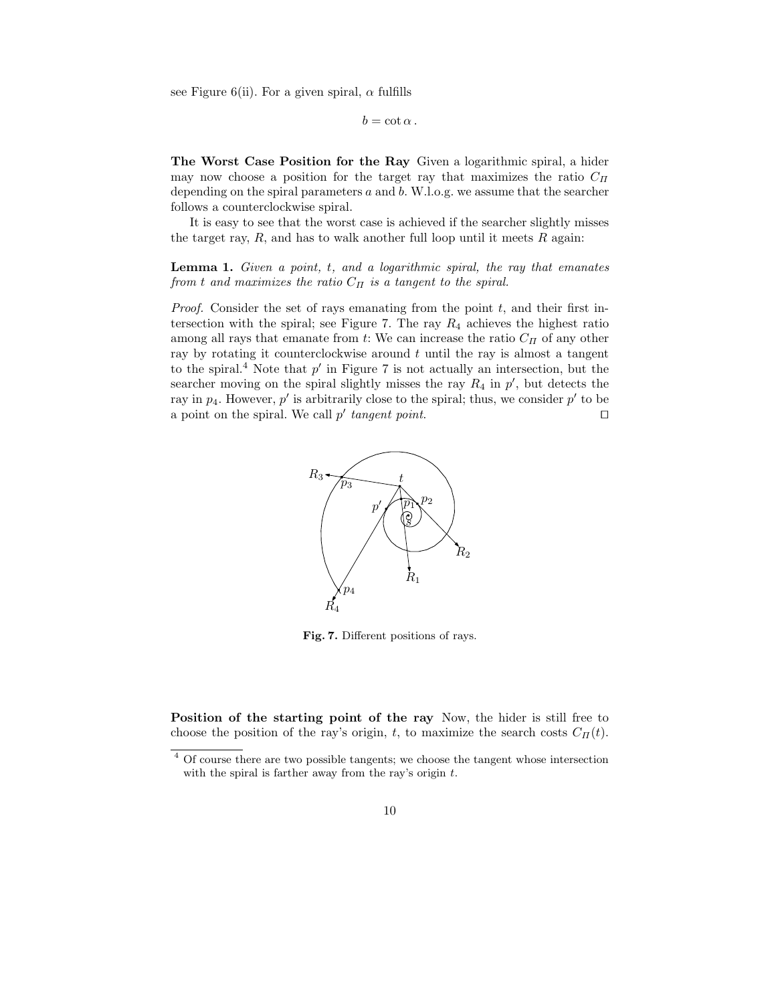see Figure 6(ii). For a given spiral,  $\alpha$  fulfills

 $b = \cot \alpha$ .

The Worst Case Position for the Ray Given a logarithmic spiral, a hider may now choose a position for the target ray that maximizes the ratio  $C_{\Pi}$ depending on the spiral parameters  $a$  and  $b$ . W.l.o.g. we assume that the searcher follows a counterclockwise spiral.

It is easy to see that the worst case is achieved if the searcher slightly misses the target ray,  $R$ , and has to walk another full loop until it meets  $R$  again:

**Lemma 1.** Given a point,  $t$ , and a logarithmic spiral, the ray that emanates from t and maximizes the ratio  $C_{II}$  is a tangent to the spiral.

*Proof.* Consider the set of rays emanating from the point  $t$ , and their first intersection with the spiral; see Figure 7. The ray  $R_4$  achieves the highest ratio among all rays that emanate from t: We can increase the ratio  $C_H$  of any other ray by rotating it counterclockwise around  $t$  until the ray is almost a tangent to the spiral.<sup>4</sup> Note that  $p'$  in Figure 7 is not actually an intersection, but the searcher moving on the spiral slightly misses the ray  $R_4$  in  $p'$ , but detects the ray in  $p_4$ . However,  $p'$  is arbitrarily close to the spiral; thus, we consider  $p'$  to be a point on the spiral. We call  $p'$  tangent point.



Fig. 7. Different positions of rays.

Position of the starting point of the ray Now, the hider is still free to choose the position of the ray's origin, t, to maximize the search costs  $C_{\Pi}(t)$ .

<sup>&</sup>lt;sup>4</sup> Of course there are two possible tangents; we choose the tangent whose intersection with the spiral is farther away from the ray's origin  $t$ .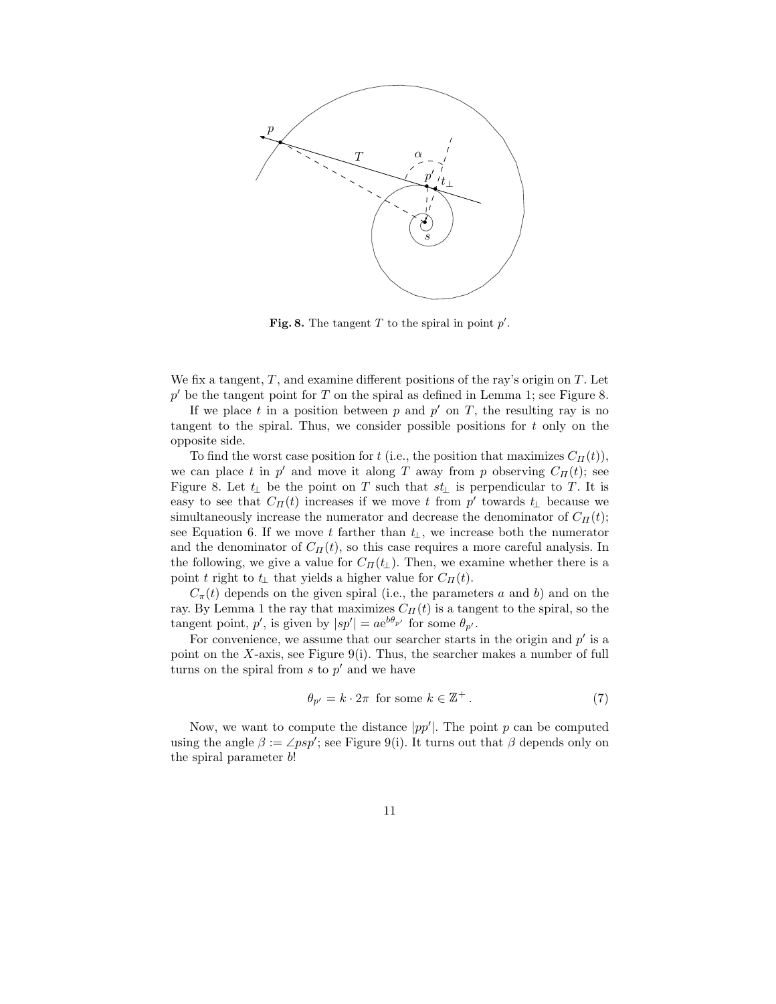

Fig. 8. The tangent T to the spiral in point  $p'$ .

We fix a tangent,  $T$ , and examine different positions of the ray's origin on  $T$ . Let  $p'$  be the tangent point for T on the spiral as defined in Lemma 1; see Figure 8.

If we place t in a position between p and  $p'$  on T, the resulting ray is no tangent to the spiral. Thus, we consider possible positions for  $t$  only on the opposite side.

To find the worst case position for t (i.e., the position that maximizes  $C_{\Pi}(t)$ ), we can place t in  $p'$  and move it along T away from p observing  $C_{\Pi}(t)$ ; see Figure 8. Let  $t_{\perp}$  be the point on T such that  $st_{\perp}$  is perpendicular to T. It is easy to see that  $C_{\Pi}(t)$  increases if we move t from p' towards  $t_{\perp}$  because we simultaneously increase the numerator and decrease the denominator of  $C_{\Pi}(t)$ ; see Equation 6. If we move t farther than  $t_{\perp}$ , we increase both the numerator and the denominator of  $C_{\Pi}(t)$ , so this case requires a more careful analysis. In the following, we give a value for  $C_{\Pi}(t_{\perp})$ . Then, we examine whether there is a point t right to  $t_{\perp}$  that yields a higher value for  $C_{\Pi}(t)$ .

 $C_{\pi}(t)$  depends on the given spiral (i.e., the parameters a and b) and on the ray. By Lemma 1 the ray that maximizes  $C_{II}(t)$  is a tangent to the spiral, so the tangent point, p', is given by  $|sp'| = ae^{b\theta_{p'}}$  for some  $\theta_{p'}$ .

For convenience, we assume that our searcher starts in the origin and  $p'$  is a point on the X-axis, see Figure 9(i). Thus, the searcher makes a number of full turns on the spiral from  $s$  to  $p'$  and we have

$$
\theta_{p'} = k \cdot 2\pi \text{ for some } k \in \mathbb{Z}^+ \,. \tag{7}
$$

Now, we want to compute the distance  $|pp'|$ . The point p can be computed using the angle  $\beta := \angle psp'$ ; see Figure 9(i). It turns out that  $\beta$  depends only on the spiral parameter b!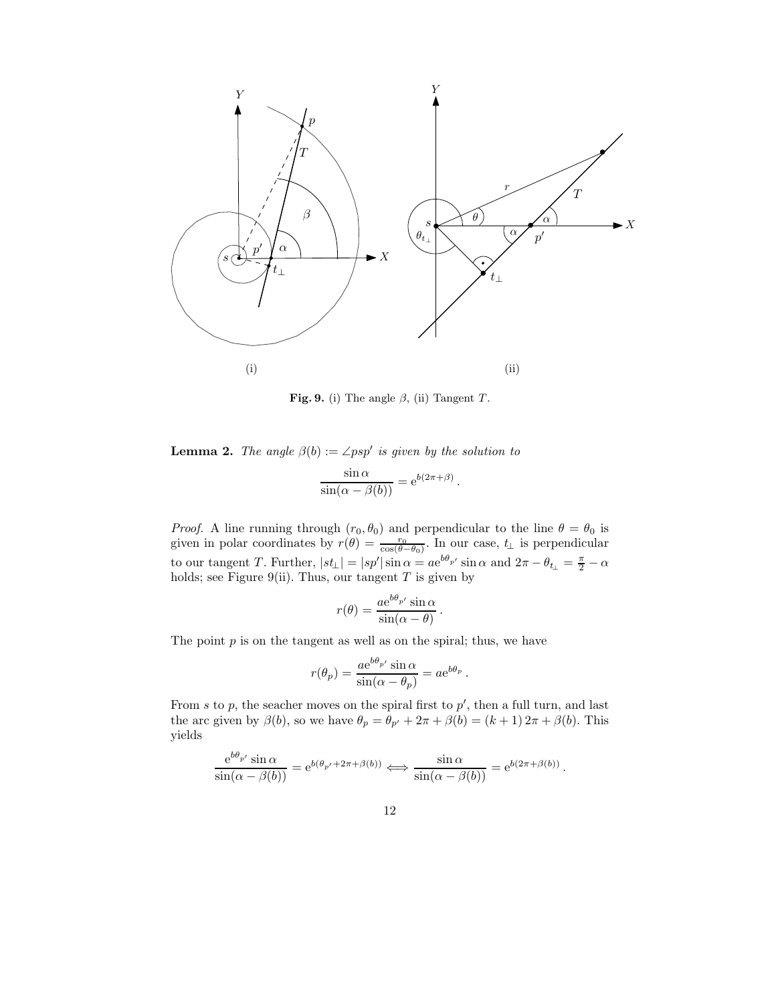

Fig. 9. (i) The angle  $\beta$ , (ii) Tangent T.

**Lemma 2.** The angle  $\beta(b) := \angle psp'$  is given by the solution to

$$
\frac{\sin \alpha}{\sin(\alpha - \beta(b))} = e^{b(2\pi + \beta)}.
$$

*Proof.* A line running through  $(r_0, \theta_0)$  and perpendicular to the line  $\theta = \theta_0$  is given in polar coordinates by  $r(\theta) = \frac{r_0}{\cos(\theta - \theta_0)}$ . In our case,  $t_{\perp}$  is perpendicular to our tangent T. Further,  $|st_{\perp}| = |sp'| \sin \alpha = ae^{b\theta_p} \sin \alpha$  and  $2\pi - \theta_{t_{\perp}} = \frac{\pi}{2} - \alpha$ holds; see Figure 9(ii). Thus, our tangent  $T$  is given by

$$
r(\theta) = \frac{a e^{b\theta_{p'}} \sin \alpha}{\sin(\alpha - \theta)}.
$$

The point  $p$  is on the tangent as well as on the spiral; thus, we have

$$
r(\theta_p) = \frac{a e^{b\theta_{p'}} \sin \alpha}{\sin(\alpha - \theta_p)} = a e^{b\theta_p}.
$$

From s to p, the seacher moves on the spiral first to  $p'$ , then a full turn, and last the arc given by  $\beta(b)$ , so we have  $\theta_p = \theta_{p'} + 2\pi + \beta(b) = (k+1) 2\pi + \beta(b)$ . This yields

$$
\frac{e^{b\theta_{p'}}\sin\alpha}{\sin(\alpha-\beta(b))} = e^{b(\theta_{p'}+2\pi+\beta(b))} \Longleftrightarrow \frac{\sin\alpha}{\sin(\alpha-\beta(b))} = e^{b(2\pi+\beta(b))}
$$

.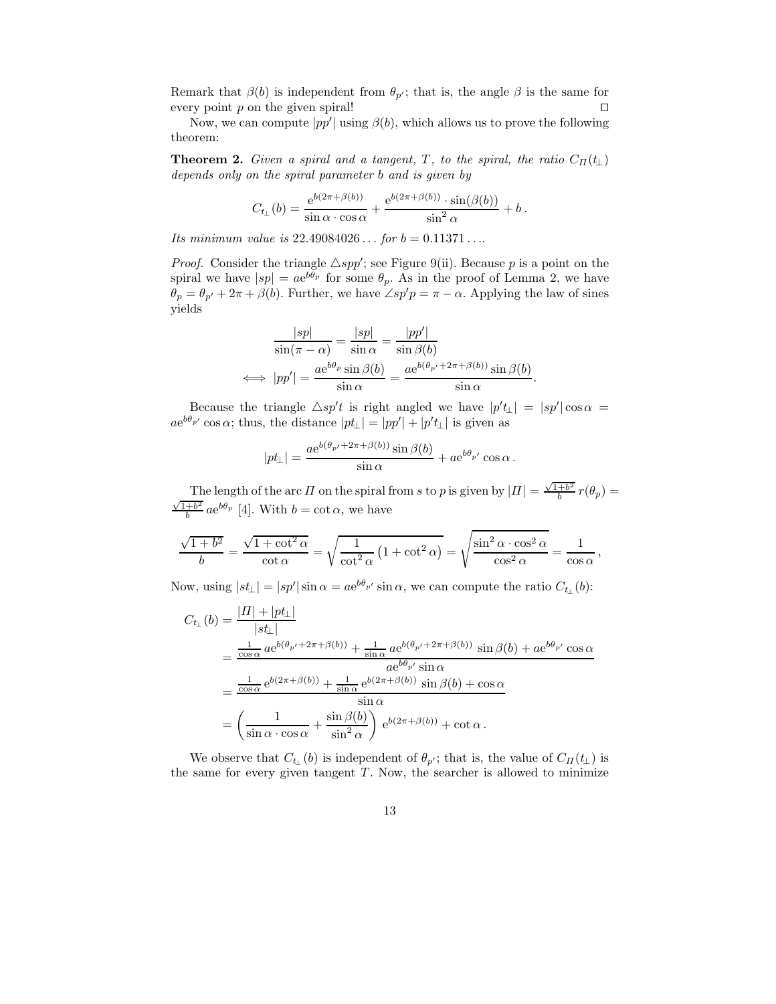Remark that  $\beta(b)$  is independent from  $\theta_{p'}$ ; that is, the angle  $\beta$  is the same for every point  $p$  on the given spiral!  $\Box$ 

Now, we can compute  $|pp'|$  using  $\beta(b)$ , which allows us to prove the following theorem:

**Theorem 2.** Given a spiral and a tangent, T, to the spiral, the ratio  $C_{\Pi}(t_1)$ depends only on the spiral parameter b and is given by

$$
C_{t_{\perp}}(b) = \frac{e^{b(2\pi+\beta(b))}}{\sin\alpha \cdot \cos\alpha} + \frac{e^{b(2\pi+\beta(b))}\cdot \sin(\beta(b))}{\sin^2\alpha} + b.
$$

Its minimum value is  $22.49084026...$  for  $b = 0.11371...$ 

*Proof.* Consider the triangle  $\triangle$ *spp'*; see Figure 9(ii). Because p is a point on the spiral we have  $|sp| = ae^{b\theta_p}$  for some  $\theta_p$ . As in the proof of Lemma 2, we have  $\theta_p = \theta_{p'} + 2\pi + \beta(b)$ . Further, we have  $\angle sp'p = \pi - \alpha$ . Applying the law of sines yields

$$
\frac{|sp|}{\sin(\pi - \alpha)} = \frac{|sp|}{\sin \alpha} = \frac{|pp'|}{\sin \beta(b)}
$$

$$
\iff |pp'| = \frac{ae^{b\theta_p}\sin\beta(b)}{\sin \alpha} = \frac{ae^{b(\theta_{p'} + 2\pi + \beta(b))}\sin\beta(b)}{\sin \alpha}.
$$

Because the triangle  $\triangle sp't$  is right angled we have  $|p't_{\perp}| = |sp'| \cos \alpha =$  $ae^{b\theta_{p'}}\cos\alpha$ ; thus, the distance  $|pt_{\perp}| = |pp'| + |p't_{\perp}|$  is given as

$$
|pt_{\perp}| = \frac{ae^{b(\theta_{p'} + 2\pi + \beta(b))}\sin \beta(b)}{\sin \alpha} + ae^{b\theta_{p'}}\cos \alpha.
$$

The length of the arc  $\Pi$  on the spiral from s to p is given by  $|\Pi| = \frac{\sqrt{1+b^2}}{b}$  $\frac{+b^2}{b}r(\theta_p)=$  $\sqrt{1+b^2}$  $\frac{b^{\pm b^2}}{b}$  ae<sup>b $\theta_p$ </sup> [4]. With  $b = \cot \alpha$ , we have

$$
\frac{\sqrt{1+b^2}}{b} = \frac{\sqrt{1+\cot^2 \alpha}}{\cot \alpha} = \sqrt{\frac{1}{\cot^2 \alpha} \left(1+\cot^2 \alpha\right)} = \sqrt{\frac{\sin^2 \alpha \cdot \cos^2 \alpha}{\cos^2 \alpha}} = \frac{1}{\cos \alpha},
$$

Now, using  $|st_{\perp}| = |sp'| \sin \alpha = a e^{b\theta_{p'}} \sin \alpha$ , we can compute the ratio  $C_{t_{\perp}}(b)$ :

$$
C_{t_{\perp}}(b) = \frac{|H| + |pt_{\perp}|}{|st_{\perp}|}
$$
  
= 
$$
\frac{\frac{1}{\cos \alpha} a e^{b(\theta_{p'} + 2\pi + \beta(b))} + \frac{1}{\sin \alpha} a e^{b(\theta_{p'} + 2\pi + \beta(b))} \sin \beta(b) + a e^{b\theta_{p'}} \cos \alpha}{a e^{b\theta_{p'}} \sin \alpha}
$$
  
= 
$$
\frac{\frac{1}{\cos \alpha} e^{b(2\pi + \beta(b))} + \frac{1}{\sin \alpha} e^{b(2\pi + \beta(b))} \sin \beta(b) + \cos \alpha}{\sin \alpha}
$$
  
= 
$$
\left(\frac{1}{\sin \alpha \cdot \cos \alpha} + \frac{\sin \beta(b)}{\sin^2 \alpha}\right) e^{b(2\pi + \beta(b))} + \cot \alpha.
$$

We observe that  $C_{t_1}(b)$  is independent of  $\theta_{p'}$ ; that is, the value of  $C_{\Pi}(t_{\perp})$  is the same for every given tangent  $T$ . Now, the searcher is allowed to minimize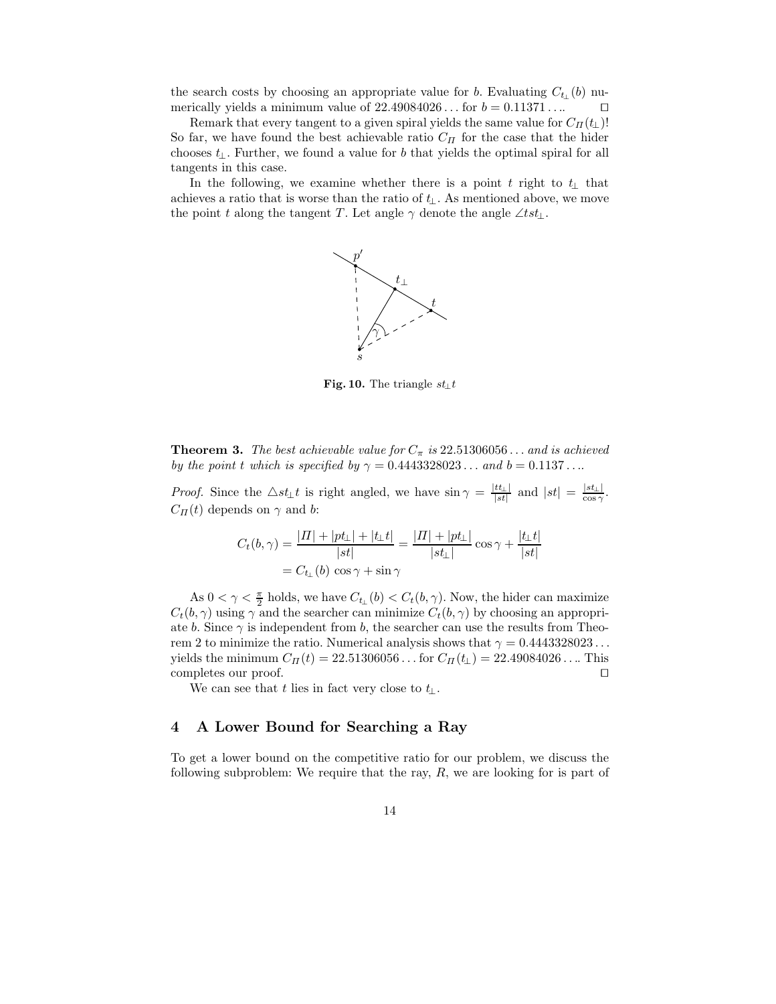the search costs by choosing an appropriate value for b. Evaluating  $C_{t_1}(b)$  numerically yields a minimum value of  $22.49084026...$  for  $b = 0.11371...$ 

Remark that every tangent to a given spiral yields the same value for  $C_{\Pi}(t_{\perp})!$ So far, we have found the best achievable ratio  $C_{\Pi}$  for the case that the hider chooses  $t_{\perp}$ . Further, we found a value for b that yields the optimal spiral for all tangents in this case.

In the following, we examine whether there is a point t right to t⊥ that achieves a ratio that is worse than the ratio of  $t_{\perp}$ . As mentioned above, we move the point t along the tangent T. Let angle  $\gamma$  denote the angle ∠tst<sub>⊥</sub>.



Fig. 10. The triangle  $st_{\perp}t$ 

**Theorem 3.** The best achievable value for  $C_{\pi}$  is 22.51306056... and is achieved by the point t which is specified by  $\gamma = 0.4443328023...$  and  $b = 0.1137...$ 

*Proof.* Since the  $\triangle st_{\perp}t$  is right angled, we have  $\sin \gamma = \frac{|tt_{\perp}|}{|st|}$  $\frac{tt_{\perp}|}{|st|}$  and  $|st| = \frac{|st_{\perp}|}{\cos \gamma}$ .  $C_{\Pi}(t)$  depends on  $\gamma$  and b:

$$
C_{t}(b,\gamma) = \frac{|H| + |pt_{\perp}| + |t_{\perp}t|}{|st|} = \frac{|H| + |pt_{\perp}|}{|st_{\perp}|} \cos \gamma + \frac{|t_{\perp}t|}{|st|}
$$

$$
= C_{t_{\perp}}(b) \cos \gamma + \sin \gamma
$$

As  $0 < \gamma < \frac{\pi}{2}$  holds, we have  $C_{t_{\perp}}(b) < C_t(b, \gamma)$ . Now, the hider can maximize  $C_t(b, \gamma)$  using  $\gamma$  and the searcher can minimize  $C_t(b, \gamma)$  by choosing an appropriate b. Since  $\gamma$  is independent from b, the searcher can use the results from Theorem 2 to minimize the ratio. Numerical analysis shows that  $\gamma = 0.4443328023...$ yields the minimum  $C_{\Pi}(t) = 22.51306056...$  for  $C_{\Pi}(t_{\perp}) = 22.49084026...$  This completes our proof. completes our proof.

We can see that t lies in fact very close to  $t_{\perp}$ .

## 4 A Lower Bound for Searching a Ray

To get a lower bound on the competitive ratio for our problem, we discuss the following subproblem: We require that the ray,  $R$ , we are looking for is part of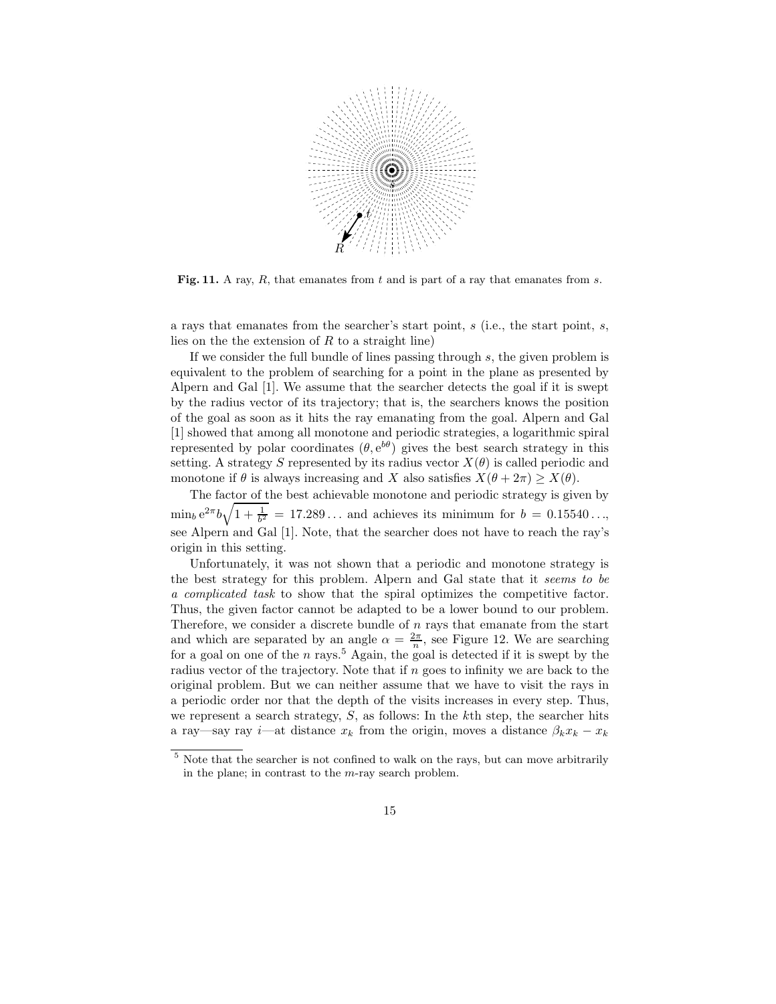

Fig. 11. A ray,  $R$ , that emanates from  $t$  and is part of a ray that emanates from  $s$ .

a rays that emanates from the searcher's start point, s (i.e., the start point, s, lies on the the extension of  $R$  to a straight line)

If we consider the full bundle of lines passing through  $s$ , the given problem is equivalent to the problem of searching for a point in the plane as presented by Alpern and Gal [1]. We assume that the searcher detects the goal if it is swept by the radius vector of its trajectory; that is, the searchers knows the position of the goal as soon as it hits the ray emanating from the goal. Alpern and Gal [1] showed that among all monotone and periodic strategies, a logarithmic spiral represented by polar coordinates  $(\theta, e^{b\theta})$  gives the best search strategy in this setting. A strategy S represented by its radius vector  $X(\theta)$  is called periodic and monotone if  $\theta$  is always increasing and X also satisfies  $X(\theta + 2\pi) > X(\theta)$ .

The factor of the best achievable monotone and periodic strategy is given by  $\min_b e^{2\pi b} \sqrt{1 + \frac{1}{b^2}} = 17.289...$  and achieves its minimum for  $b = 0.15540...$ , see Alpern and Gal [1]. Note, that the searcher does not have to reach the ray's origin in this setting.

Unfortunately, it was not shown that a periodic and monotone strategy is the best strategy for this problem. Alpern and Gal state that it seems to be a complicated task to show that the spiral optimizes the competitive factor. Thus, the given factor cannot be adapted to be a lower bound to our problem. Therefore, we consider a discrete bundle of  $n$  rays that emanate from the start and which are separated by an angle  $\alpha = \frac{2\pi}{n}$ , see Figure 12. We are searching for a goal on one of the n rays.<sup>5</sup> Again, the goal is detected if it is swept by the radius vector of the trajectory. Note that if  $n$  goes to infinity we are back to the original problem. But we can neither assume that we have to visit the rays in a periodic order nor that the depth of the visits increases in every step. Thus, we represent a search strategy,  $S$ , as follows: In the kth step, the searcher hits a ray—say ray i—at distance  $x_k$  from the origin, moves a distance  $\beta_k x_k - x_k$ 

<sup>5</sup> Note that the searcher is not confined to walk on the rays, but can move arbitrarily in the plane; in contrast to the m-ray search problem.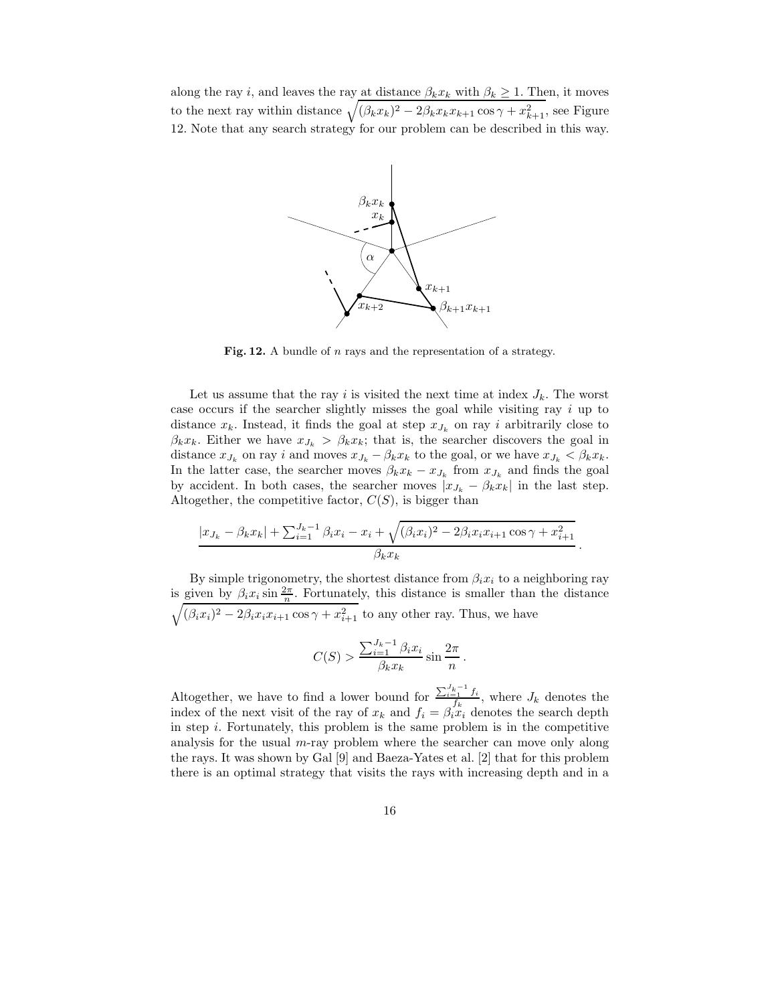along the ray i, and leaves the ray at distance  $\beta_k x_k$  with  $\beta_k \geq 1$ . Then, it moves to the next ray within distance  $\sqrt{(\beta_k x_k)^2 - 2\beta_k x_k x_{k+1} \cos \gamma + x_{k+1}^2}$ , see Figure 12. Note that any search strategy for our problem can be described in this way.



Fig. 12. A bundle of n rays and the representation of a strategy.

Let us assume that the ray i is visited the next time at index  $J_k$ . The worst case occurs if the searcher slightly misses the goal while visiting ray i up to distance  $x_k$ . Instead, it finds the goal at step  $x_{J_k}$  on ray i arbitrarily close to  $\beta_k x_k$ . Either we have  $x_{J_k} > \beta_k x_k$ ; that is, the searcher discovers the goal in distance  $x_{J_k}$  on ray i and moves  $x_{J_k} - \beta_k x_k$  to the goal, or we have  $x_{J_k} < \beta_k x_k$ . In the latter case, the searcher moves  $\beta_k x_k - x_{J_k}$  from  $x_{J_k}$  and finds the goal by accident. In both cases, the searcher moves  $|x_{J_k} - \beta_k x_k|$  in the last step. Altogether, the competitive factor,  $C(S)$ , is bigger than

$$
|x_{J_k} - \beta_k x_k| + \sum_{i=1}^{J_k - 1} \beta_i x_i - x_i + \sqrt{(\beta_i x_i)^2 - 2\beta_i x_i x_{i+1} \cos \gamma + x_{i+1}^2}
$$

$$
\beta_k x_k
$$

.

By simple trigonometry, the shortest distance from  $\beta_i x_i$  to a neighboring ray is given by  $\beta_i x_i \sin \frac{2\pi}{n}$ . Fortunately, this distance is smaller than the distance  $\sqrt{(\beta_i x_i)^2 - 2\beta_i x_i x_{i+1} \cos \gamma + x_{i+1}^2}$  to any other ray. Thus, we have

$$
C(S) > \frac{\sum_{i=1}^{J_k - 1} \beta_i x_i}{\beta_k x_k} \sin \frac{2\pi}{n}.
$$

Altogether, we have to find a lower bound for  $\frac{\sum_{i=1}^{J_k-1} f_i}{f_k}$ , where  $J_k$  denotes the index of the next visit of the ray of  $x_k$  and  $f_i = \beta_i x_i$  denotes the search depth in step  $i$ . Fortunately, this problem is the same problem is in the competitive analysis for the usual  $m$ -ray problem where the searcher can move only along the rays. It was shown by Gal [9] and Baeza-Yates et al. [2] that for this problem there is an optimal strategy that visits the rays with increasing depth and in a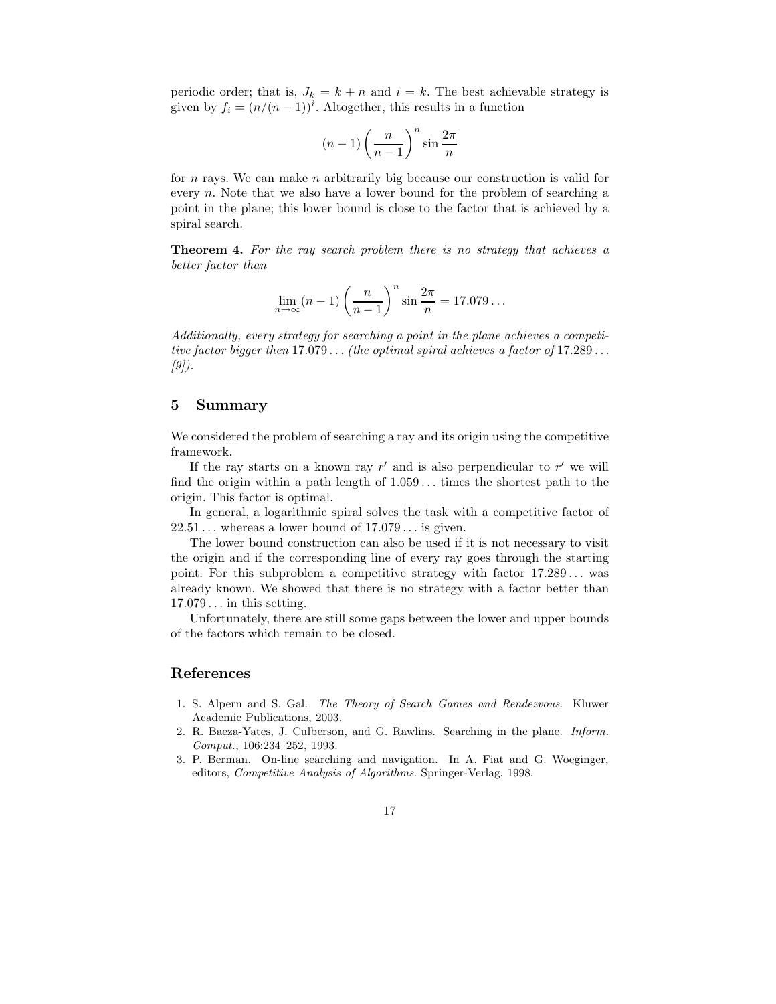periodic order; that is,  $J_k = k + n$  and  $i = k$ . The best achievable strategy is given by  $f_i = (n/(n-1))^i$ . Altogether, this results in a function

$$
(n-1)\left(\frac{n}{n-1}\right)^n \sin\frac{2\pi}{n}
$$

for n rays. We can make n arbitrarily big because our construction is valid for every  $n$ . Note that we also have a lower bound for the problem of searching a point in the plane; this lower bound is close to the factor that is achieved by a spiral search.

Theorem 4. For the ray search problem there is no strategy that achieves a better factor than

$$
\lim_{n \to \infty} (n-1) \left(\frac{n}{n-1}\right)^n \sin \frac{2\pi}{n} = 17.079\dots
$$

Additionally, every strategy for searching a point in the plane achieves a competitive factor bigger then  $17.079...$  (the optimal spiral achieves a factor of  $17.289...$ )  $[9]$ .

### 5 Summary

We considered the problem of searching a ray and its origin using the competitive framework.

If the ray starts on a known ray  $r'$  and is also perpendicular to  $r'$  we will find the origin within a path length of  $1.059...$  times the shortest path to the origin. This factor is optimal.

In general, a logarithmic spiral solves the task with a competitive factor of  $22.51...$  whereas a lower bound of  $17.079...$  is given.

The lower bound construction can also be used if it is not necessary to visit the origin and if the corresponding line of every ray goes through the starting point. For this subproblem a competitive strategy with factor  $17.289...$  was already known. We showed that there is no strategy with a factor better than  $17.079...$  in this setting.

Unfortunately, there are still some gaps between the lower and upper bounds of the factors which remain to be closed.

### References

- 1. S. Alpern and S. Gal. The Theory of Search Games and Rendezvous. Kluwer Academic Publications, 2003.
- 2. R. Baeza-Yates, J. Culberson, and G. Rawlins. Searching in the plane. Inform. Comput., 106:234–252, 1993.
- 3. P. Berman. On-line searching and navigation. In A. Fiat and G. Woeginger, editors, Competitive Analysis of Algorithms. Springer-Verlag, 1998.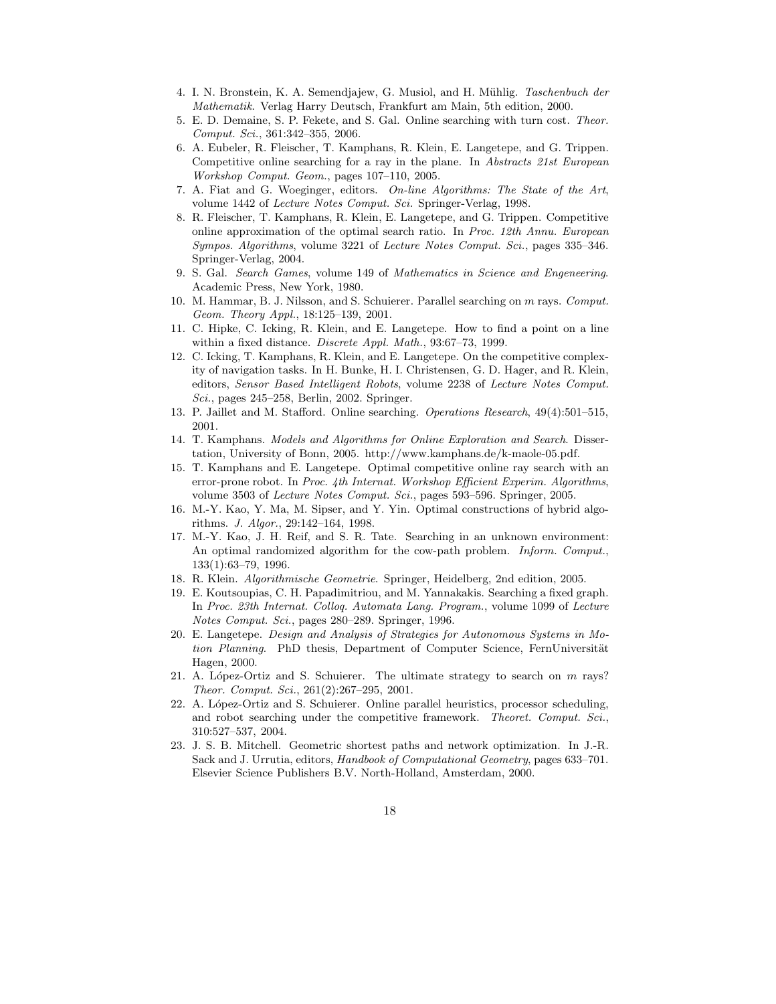- 4. I. N. Bronstein, K. A. Semendjajew, G. Musiol, and H. Mühlig. Taschenbuch der Mathematik. Verlag Harry Deutsch, Frankfurt am Main, 5th edition, 2000.
- 5. E. D. Demaine, S. P. Fekete, and S. Gal. Online searching with turn cost. Theor. Comput. Sci., 361:342–355, 2006.
- 6. A. Eubeler, R. Fleischer, T. Kamphans, R. Klein, E. Langetepe, and G. Trippen. Competitive online searching for a ray in the plane. In Abstracts 21st European Workshop Comput. Geom., pages 107–110, 2005.
- 7. A. Fiat and G. Woeginger, editors. On-line Algorithms: The State of the Art, volume 1442 of Lecture Notes Comput. Sci. Springer-Verlag, 1998.
- 8. R. Fleischer, T. Kamphans, R. Klein, E. Langetepe, and G. Trippen. Competitive online approximation of the optimal search ratio. In Proc. 12th Annu. European Sympos. Algorithms, volume 3221 of Lecture Notes Comput. Sci., pages 335–346. Springer-Verlag, 2004.
- 9. S. Gal. Search Games, volume 149 of Mathematics in Science and Engeneering. Academic Press, New York, 1980.
- 10. M. Hammar, B. J. Nilsson, and S. Schuierer. Parallel searching on m rays. Comput. Geom. Theory Appl., 18:125–139, 2001.
- 11. C. Hipke, C. Icking, R. Klein, and E. Langetepe. How to find a point on a line within a fixed distance. Discrete Appl. Math., 93:67–73, 1999.
- 12. C. Icking, T. Kamphans, R. Klein, and E. Langetepe. On the competitive complexity of navigation tasks. In H. Bunke, H. I. Christensen, G. D. Hager, and R. Klein, editors, Sensor Based Intelligent Robots, volume 2238 of Lecture Notes Comput. Sci., pages 245–258, Berlin, 2002. Springer.
- 13. P. Jaillet and M. Stafford. Online searching. Operations Research, 49(4):501–515, 2001.
- 14. T. Kamphans. Models and Algorithms for Online Exploration and Search. Dissertation, University of Bonn, 2005. http://www.kamphans.de/k-maole-05.pdf.
- 15. T. Kamphans and E. Langetepe. Optimal competitive online ray search with an error-prone robot. In Proc. 4th Internat. Workshop Efficient Experim. Algorithms, volume 3503 of Lecture Notes Comput. Sci., pages 593–596. Springer, 2005.
- 16. M.-Y. Kao, Y. Ma, M. Sipser, and Y. Yin. Optimal constructions of hybrid algorithms. J. Algor., 29:142–164, 1998.
- 17. M.-Y. Kao, J. H. Reif, and S. R. Tate. Searching in an unknown environment: An optimal randomized algorithm for the cow-path problem. *Inform. Comput.*, 133(1):63–79, 1996.
- 18. R. Klein. Algorithmische Geometrie. Springer, Heidelberg, 2nd edition, 2005.
- 19. E. Koutsoupias, C. H. Papadimitriou, and M. Yannakakis. Searching a fixed graph. In Proc. 23th Internat. Colloq. Automata Lang. Program., volume 1099 of Lecture Notes Comput. Sci., pages 280–289. Springer, 1996.
- 20. E. Langetepe. Design and Analysis of Strategies for Autonomous Systems in Motion Planning. PhD thesis, Department of Computer Science, FernUniversität Hagen, 2000.
- 21. A. López-Ortiz and S. Schuierer. The ultimate strategy to search on  $m$  rays? Theor. Comput. Sci., 261(2):267–295, 2001.
- 22. A. López-Ortiz and S. Schuierer. Online parallel heuristics, processor scheduling, and robot searching under the competitive framework. Theoret. Comput. Sci., 310:527–537, 2004.
- 23. J. S. B. Mitchell. Geometric shortest paths and network optimization. In J.-R. Sack and J. Urrutia, editors, Handbook of Computational Geometry, pages 633–701. Elsevier Science Publishers B.V. North-Holland, Amsterdam, 2000.